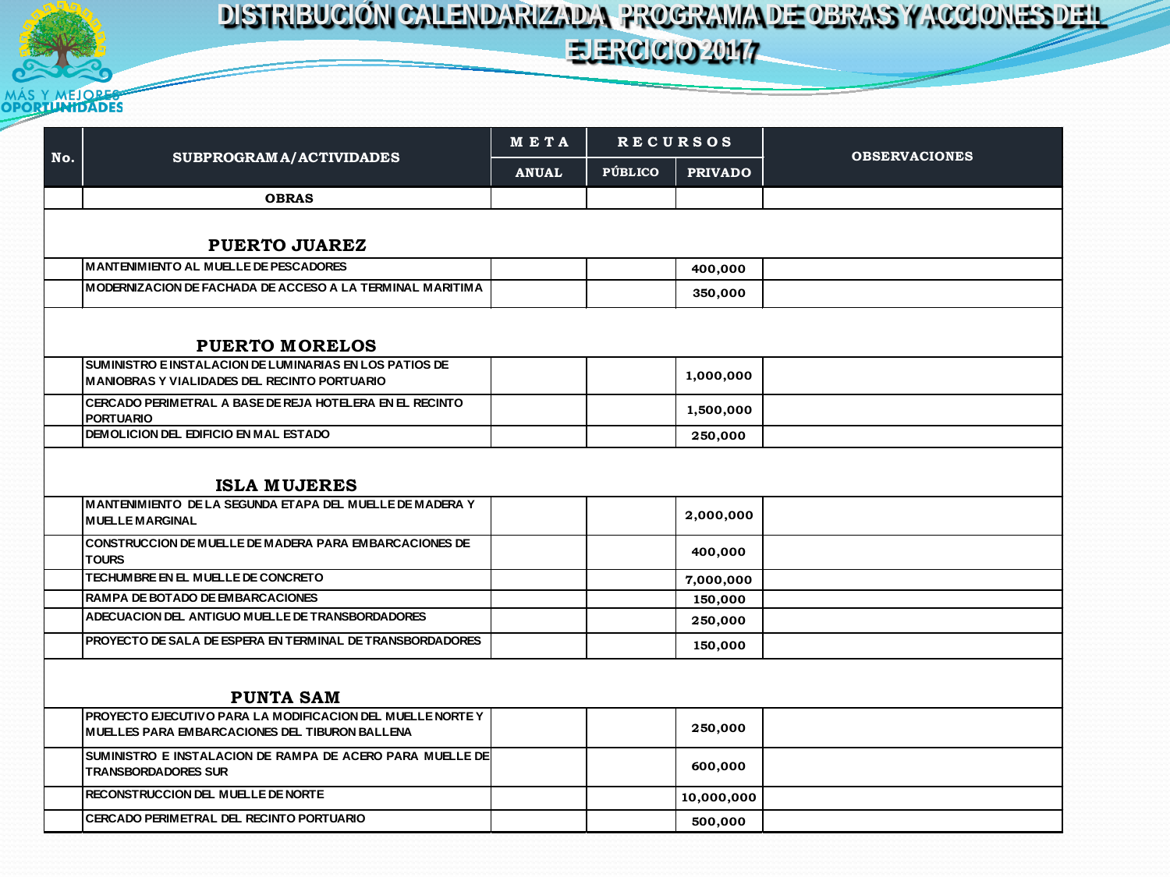

## MÁS Y MEJORES

|                       | SUBPROGRAM A/ACTIVIDADES                                                                                       | <b>RECURSOS</b><br>META |         |                | <b>OBSERVACIONES</b> |  |  |  |  |
|-----------------------|----------------------------------------------------------------------------------------------------------------|-------------------------|---------|----------------|----------------------|--|--|--|--|
| No.                   |                                                                                                                | <b>ANUAL</b>            | PÚBLICO | <b>PRIVADO</b> |                      |  |  |  |  |
|                       | <b>OBRAS</b>                                                                                                   |                         |         |                |                      |  |  |  |  |
|                       |                                                                                                                |                         |         |                |                      |  |  |  |  |
| <b>PUERTO JUAREZ</b>  |                                                                                                                |                         |         |                |                      |  |  |  |  |
|                       | <b>MANTENIMIENTO AL MUELLE DE PESCADORES</b>                                                                   |                         |         | 400,000        |                      |  |  |  |  |
|                       | MODERNIZACION DE FACHADA DE ACCESO A LA TERMINAL MARITIMA                                                      |                         |         | 350,000        |                      |  |  |  |  |
| <b>PUERTO MORELOS</b> |                                                                                                                |                         |         |                |                      |  |  |  |  |
|                       | SUMINISTRO E INSTALACION DE LUMINARIAS EN LOS PATIOS DE<br><b>MANIOBRAS Y VIALIDADES DEL RECINTO PORTUARIO</b> |                         |         | 1,000,000      |                      |  |  |  |  |
|                       | CERCADO PERIMETRAL A BASE DE REJA HOTELERA EN EL RECINTO<br><b>PORTUARIO</b>                                   |                         |         | 1,500,000      |                      |  |  |  |  |
|                       | DEMOLICION DEL EDIFICIO EN MAL ESTADO                                                                          |                         |         | 250,000        |                      |  |  |  |  |
|                       | <b>ISLA MUJERES</b>                                                                                            |                         |         |                |                      |  |  |  |  |
|                       | MANTENIMIENTO DE LA SEGUNDA ETAPA DEL MUELLE DE MADERA Y<br><b>MUELLE MARGINAL</b>                             |                         |         | 2,000,000      |                      |  |  |  |  |
|                       | <b>CONSTRUCCION DE MUELLE DE MADERA PARA EMBARCACIONES DE</b><br><b>TOURS</b>                                  |                         |         | 400,000        |                      |  |  |  |  |
|                       | TECHUMBRE EN EL MUELLE DE CONCRETO                                                                             |                         |         | 7,000,000      |                      |  |  |  |  |
|                       | RAMPA DE BOTADO DE EMBARCACIONES                                                                               |                         |         | 150,000        |                      |  |  |  |  |
|                       | ADECUACION DEL ANTIGUO MUELLE DE TRANSBORDADORES                                                               |                         |         | 250,000        |                      |  |  |  |  |
|                       | PROYECTO DE SALA DE ESPERA EN TERMINAL DE TRANSBORDADORES                                                      |                         |         | 150,000        |                      |  |  |  |  |
|                       | <b>PUNTA SAM</b>                                                                                               |                         |         |                |                      |  |  |  |  |
|                       | PROYECTO EJECUTIVO PARA LA MODIFICACION DEL MUELLE NORTE Y<br>MUELLES PARA EMBARCACIONES DEL TIBURON BALLENA   |                         |         | 250,000        |                      |  |  |  |  |
|                       | SUMINISTRO E INSTALACION DE RAMPA DE ACERO PARA MUELLE DE<br><b>TRANSBORDADORES SUR</b>                        |                         |         | 600,000        |                      |  |  |  |  |
|                       | RECONSTRUCCION DEL MUELLE DE NORTE                                                                             |                         |         | 10,000,000     |                      |  |  |  |  |
|                       | CERCADO PERIMETRAL DEL RECINTO PORTUARIO                                                                       |                         |         | 500,000        |                      |  |  |  |  |